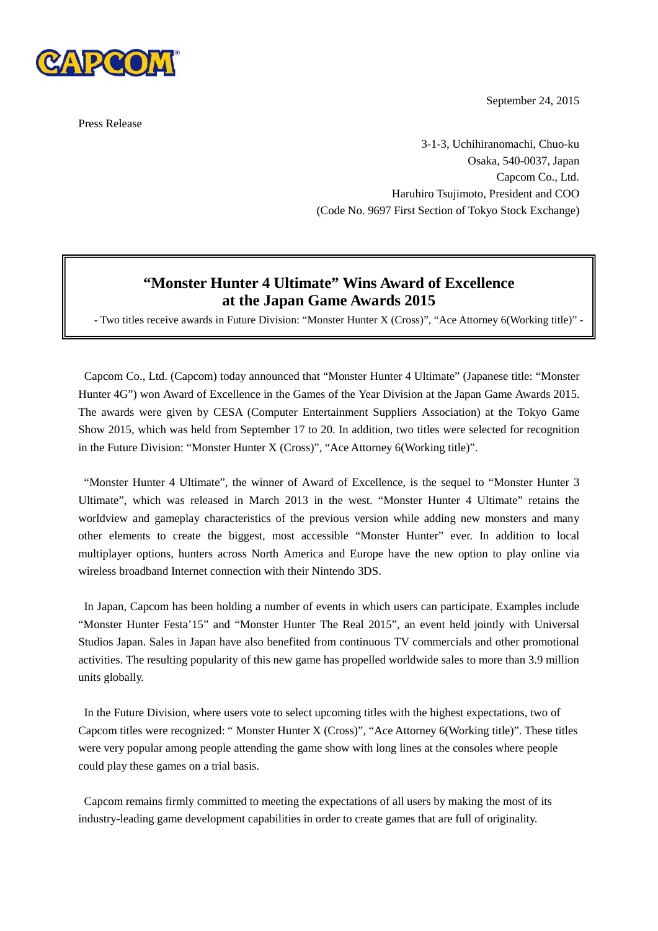

Press Release

September 24, 2015

3-1-3, Uchihiranomachi, Chuo-ku Osaka, 540-0037, Japan Capcom Co., Ltd. Haruhiro Tsujimoto, President and COO (Code No. 9697 First Section of Tokyo Stock Exchange)

# **"Monster Hunter 4 Ultimate" Wins Award of Excellence at the Japan Game Awards 2015**

- Two titles receive awards in Future Division: "Monster Hunter X (Cross)", "Ace Attorney 6(Working title)" -

Capcom Co., Ltd. (Capcom) today announced that "Monster Hunter 4 Ultimate" (Japanese title: "Monster Hunter 4G") won Award of Excellence in the Games of the Year Division at the Japan Game Awards 2015. The awards were given by CESA (Computer Entertainment Suppliers Association) at the Tokyo Game Show 2015, which was held from September 17 to 20. In addition, two titles were selected for recognition in the Future Division: "Monster Hunter X (Cross)", "Ace Attorney 6(Working title)".

"Monster Hunter 4 Ultimate", the winner of Award of Excellence, is the sequel to "Monster Hunter 3 Ultimate", which was released in March 2013 in the west. "Monster Hunter 4 Ultimate" retains the worldview and gameplay characteristics of the previous version while adding new monsters and many other elements to create the biggest, most accessible "Monster Hunter" ever. In addition to local multiplayer options, hunters across North America and Europe have the new option to play online via wireless broadband Internet connection with their Nintendo 3DS.

In Japan, Capcom has been holding a number of events in which users can participate. Examples include "Monster Hunter Festa'15" and "Monster Hunter The Real 2015", an event held jointly with Universal Studios Japan. Sales in Japan have also benefited from continuous TV commercials and other promotional activities. The resulting popularity of this new game has propelled worldwide sales to more than 3.9 million units globally.

In the Future Division, where users vote to select upcoming titles with the highest expectations, two of Capcom titles were recognized: " Monster Hunter X (Cross)", "Ace Attorney 6(Working title)". These titles were very popular among people attending the game show with long lines at the consoles where people could play these games on a trial basis.

Capcom remains firmly committed to meeting the expectations of all users by making the most of its industry-leading game development capabilities in order to create games that are full of originality.